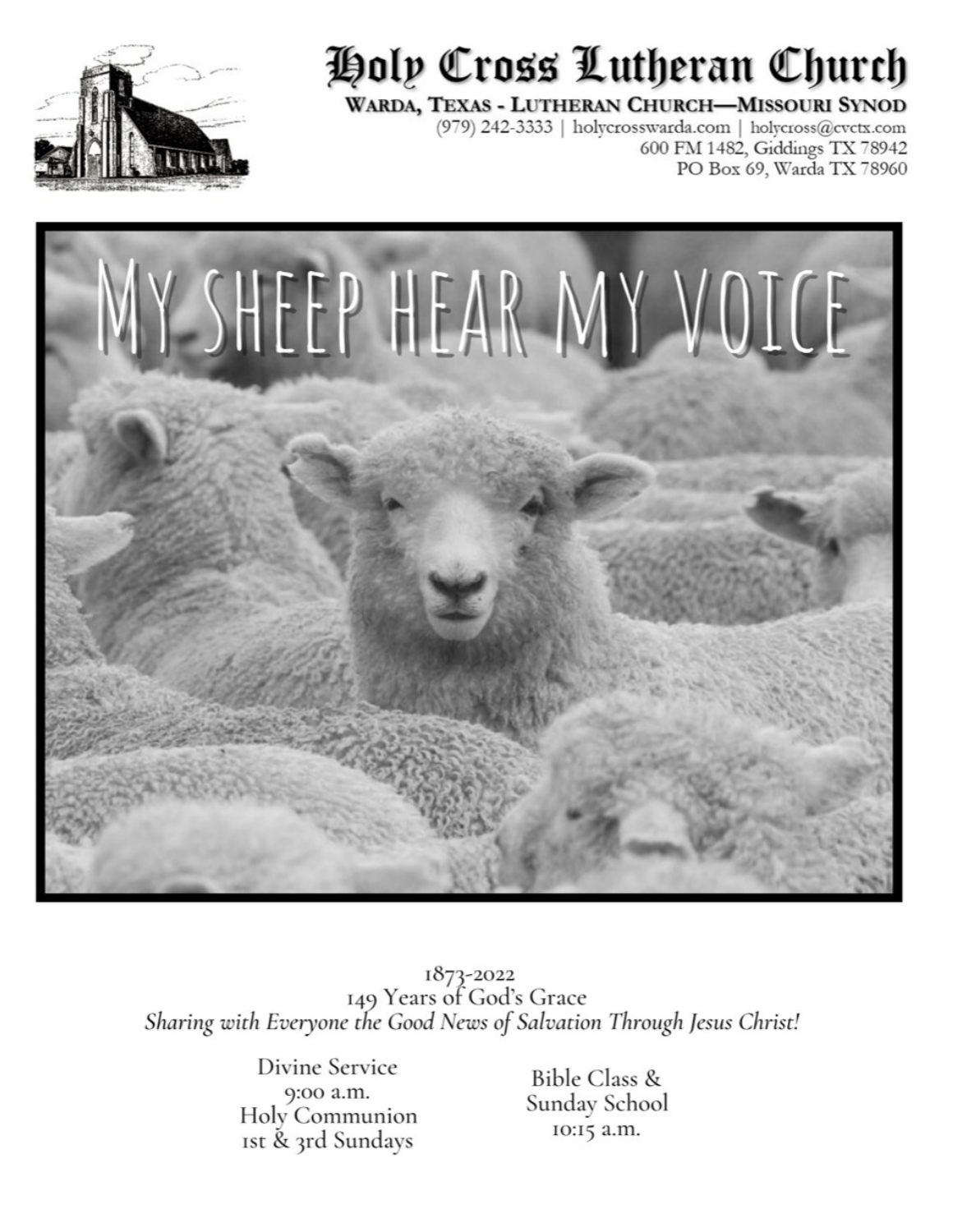

# Holp Cross Lutheran Church

#### WARDA, TEXAS - LUTHERAN CHURCH-MISSOURI SYNOD

(979) 242-3333 | holycrosswarda.com | holycross@cvctx.com 600 FM 1482, Giddings TX 78942 PO Box 69, Warda TX 78960



1873-2022<br>149 Years of God's Grace Sharing with Everyone the Good News of Salvation Through Jesus Christ!

> Divine Service 9:00 a.m. Holy Communion Ist & 3rd Sundays

Bible Class & Sunday School 10:15 a.m.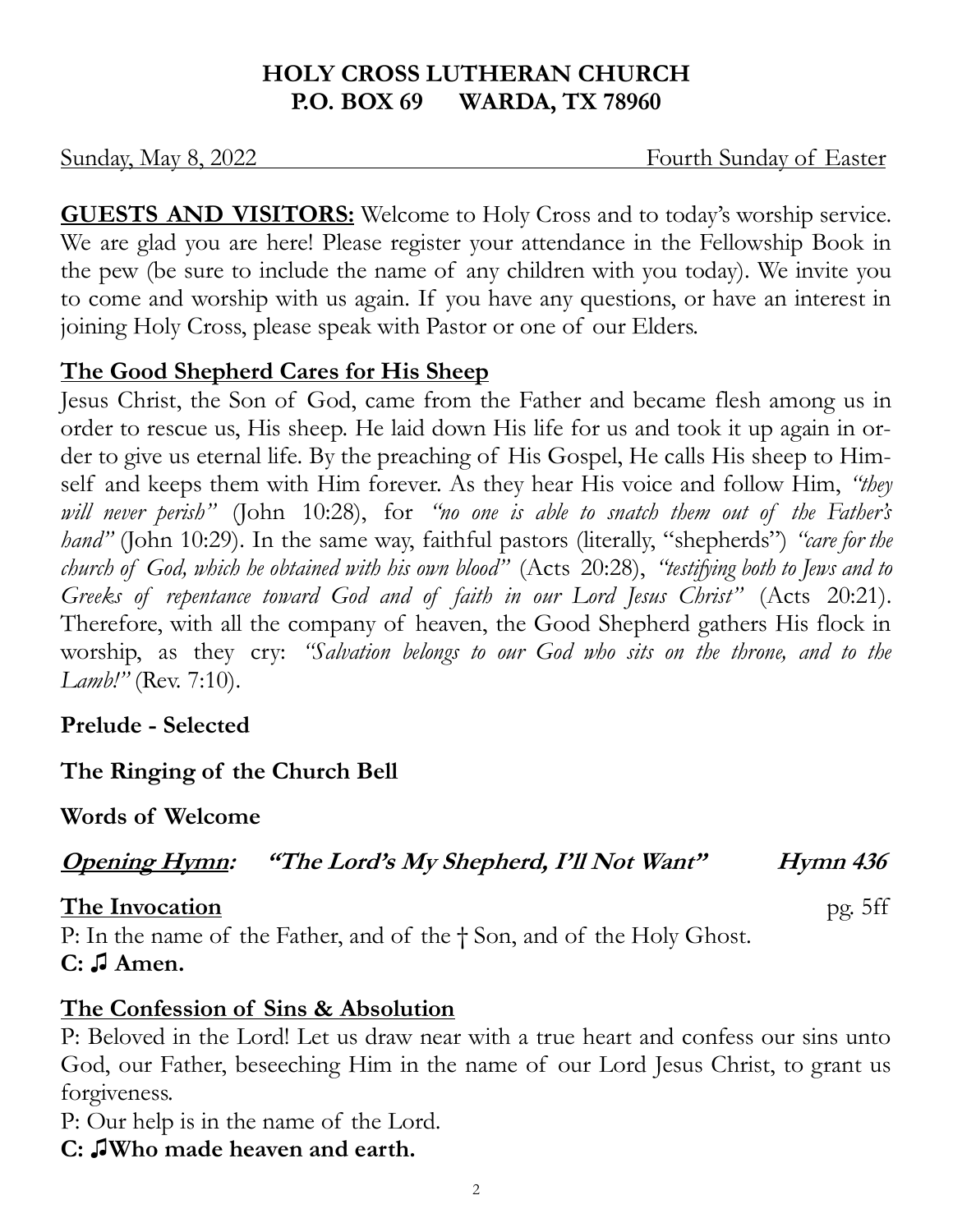# **HOLY CROSS LUTHERAN CHURCH P.O. BOX 69 WARDA, TX 78960**

Sunday, May 8, 2022 **Fourth Sunday of Easter** 

**GUESTS AND VISITORS:** Welcome to Holy Cross and to today's worship service. We are glad you are here! Please register your attendance in the Fellowship Book in the pew (be sure to include the name of any children with you today). We invite you to come and worship with us again. If you have any questions, or have an interest in joining Holy Cross, please speak with Pastor or one of our Elders.

# **The Good Shepherd Cares for His Sheep**

Jesus Christ, the Son of God, came from the Father and became flesh among us in order to rescue us, His sheep. He laid down His life for us and took it up again in order to give us eternal life. By the preaching of His Gospel, He calls His sheep to Himself and keeps them with Him forever. As they hear His voice and follow Him, *"they will never perish"* (John 10:28), for *"no one is able to snatch them out of the Father's hand"* (John 10:29). In the same way, faithful pastors (literally, "shepherds") *"care for the church of God, which he obtained with his own blood"* (Acts 20:28), *"testifying both to Jews and to Greeks of repentance toward God and of faith in our Lord Jesus Christ"* (Acts 20:21). Therefore, with all the company of heaven, the Good Shepherd gathers His flock in worship, as they cry: *"Salvation belongs to our God who sits on the throne, and to the Lamb!"* (Rev. 7:10).

**Prelude - Selected**

**The Ringing of the Church Bell**

**Words of Welcome**

**Opening Hymn: "The Lord's My Shepherd, I'll Not Want" Hymn 436** 

**The Invocation** pg. 5ff

P: In the name of the Father, and of the † Son, and of the Holy Ghost. **C: ♫ Amen.** 

# **The Confession of Sins & Absolution**

P: Beloved in the Lord! Let us draw near with a true heart and confess our sins unto God, our Father, beseeching Him in the name of our Lord Jesus Christ, to grant us forgiveness.

P: Our help is in the name of the Lord.

**C: ♫Who made heaven and earth.** 

2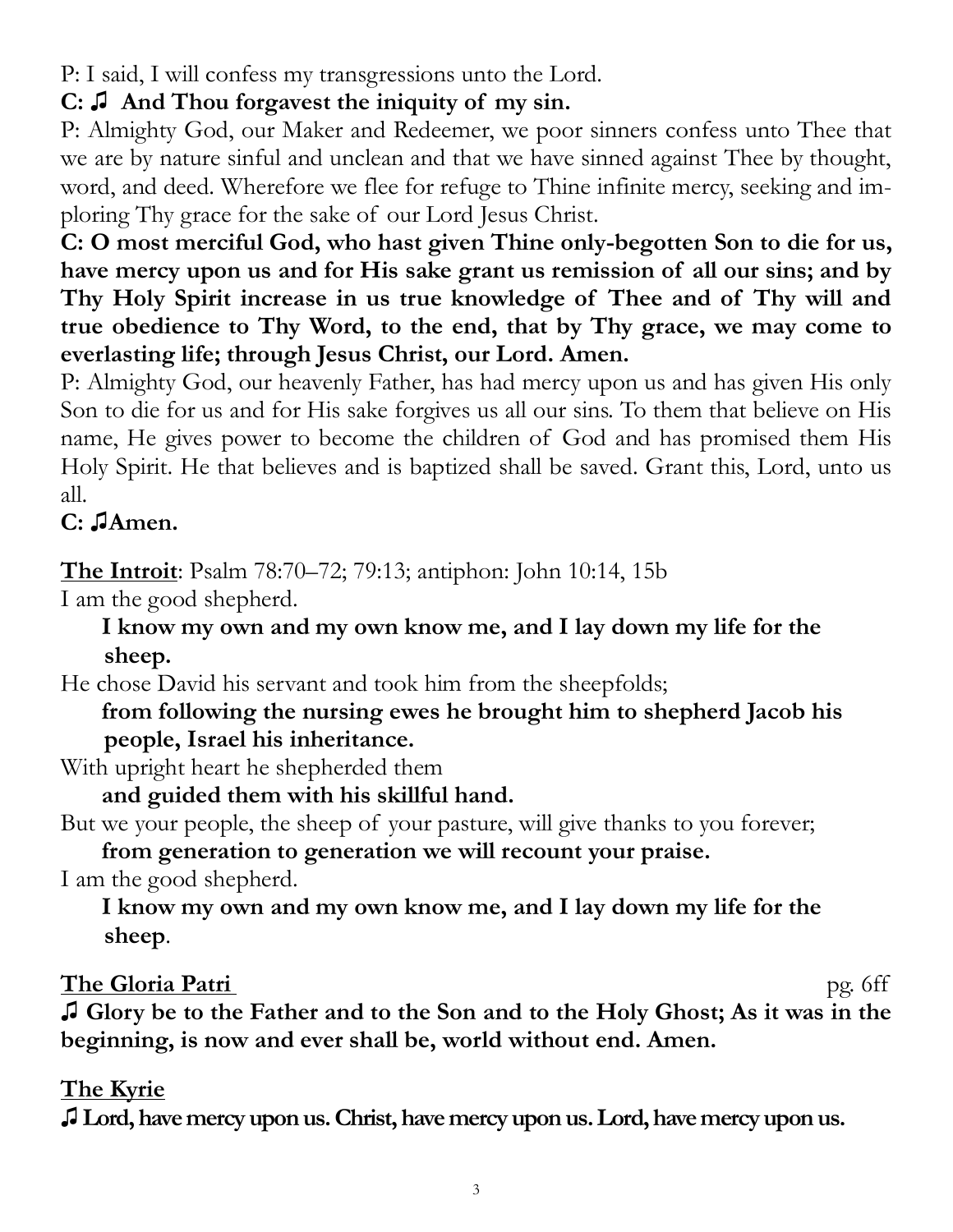P: I said, I will confess my transgressions unto the Lord.

# **C: ♫ And Thou forgavest the iniquity of my sin.**

P: Almighty God, our Maker and Redeemer, we poor sinners confess unto Thee that we are by nature sinful and unclean and that we have sinned against Thee by thought, word, and deed. Wherefore we flee for refuge to Thine infinite mercy, seeking and imploring Thy grace for the sake of our Lord Jesus Christ.

**C: O most merciful God, who hast given Thine only-begotten Son to die for us, have mercy upon us and for His sake grant us remission of all our sins; and by Thy Holy Spirit increase in us true knowledge of Thee and of Thy will and true obedience to Thy Word, to the end, that by Thy grace, we may come to everlasting life; through Jesus Christ, our Lord. Amen.** 

P: Almighty God, our heavenly Father, has had mercy upon us and has given His only Son to die for us and for His sake forgives us all our sins. To them that believe on His name, He gives power to become the children of God and has promised them His Holy Spirit. He that believes and is baptized shall be saved. Grant this, Lord, unto us all.

# **C: ♫Amen.**

**The Introit**: Psalm 78:70–72; 79:13; antiphon: John 10:14, 15b

I am the good shepherd.

**I know my own and my own know me, and I lay down my life for the sheep.**

He chose David his servant and took him from the sheepfolds;

# **from following the nursing ewes he brought him to shepherd Jacob his people, Israel his inheritance.**

With upright heart he shepherded them

**and guided them with his skillful hand.**

But we your people, the sheep of your pasture, will give thanks to you forever;

**from generation to generation we will recount your praise.**

I am the good shepherd.

**I know my own and my own know me, and I lay down my life for the sheep**.

# **The Gloria Patri** pg. 6ff

**♫ Glory be to the Father and to the Son and to the Holy Ghost; As it was in the beginning, is now and ever shall be, world without end. Amen.** 

# **The Kyrie**

**♫ Lord, have mercy upon us. Christ, have mercy upon us. Lord, have mercy upon us.**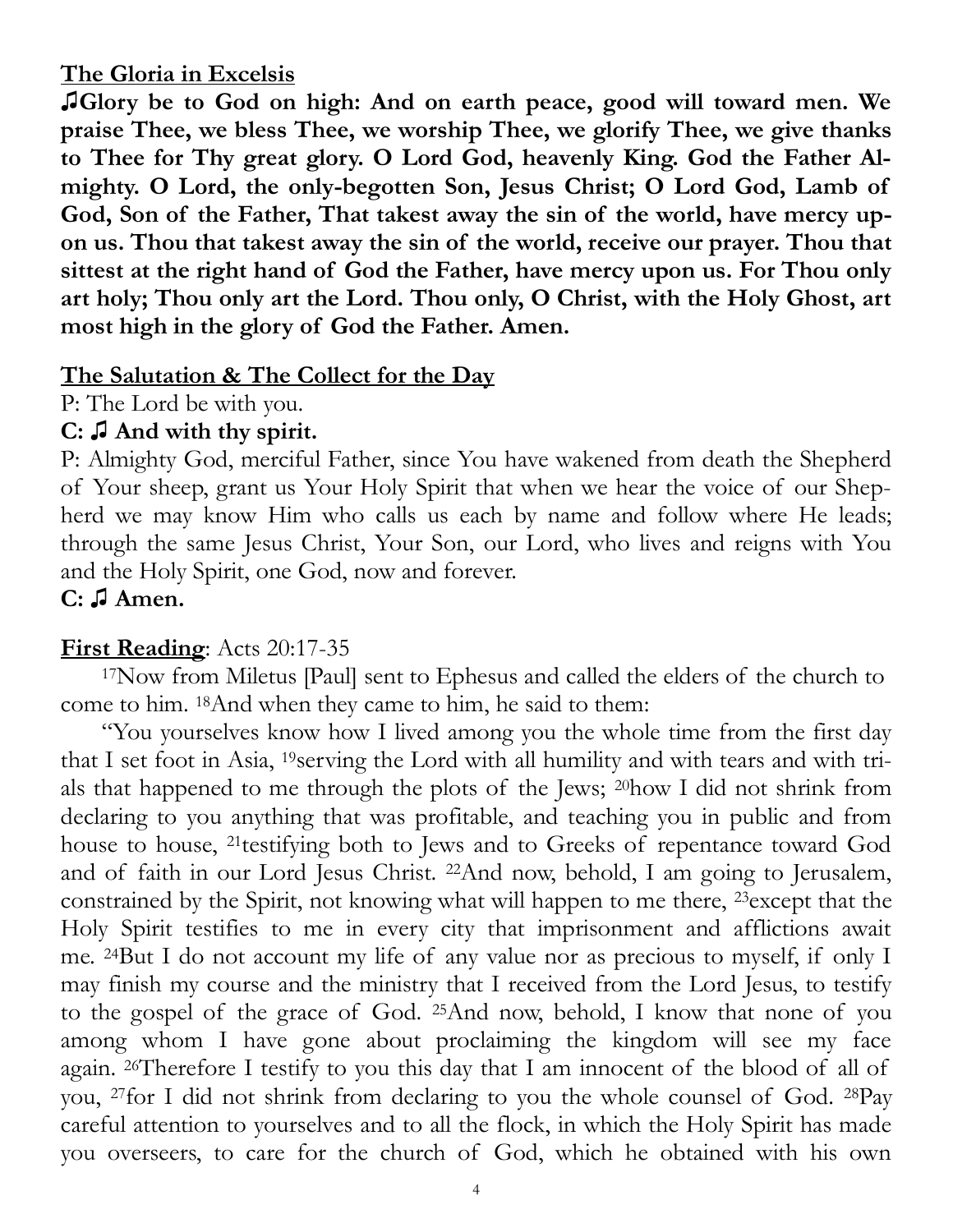#### **The Gloria in Excelsis**

**♫Glory be to God on high: And on earth peace, good will toward men. We praise Thee, we bless Thee, we worship Thee, we glorify Thee, we give thanks to Thee for Thy great glory. O Lord God, heavenly King. God the Father Almighty. O Lord, the only-begotten Son, Jesus Christ; O Lord God, Lamb of God, Son of the Father, That takest away the sin of the world, have mercy upon us. Thou that takest away the sin of the world, receive our prayer. Thou that sittest at the right hand of God the Father, have mercy upon us. For Thou only art holy; Thou only art the Lord. Thou only, O Christ, with the Holy Ghost, art most high in the glory of God the Father. Amen.** 

# **The Salutation & The Collect for the Day**

P: The Lord be with you.

# **C: ♫ And with thy spirit.**

P: Almighty God, merciful Father, since You have wakened from death the Shepherd of Your sheep, grant us Your Holy Spirit that when we hear the voice of our Shepherd we may know Him who calls us each by name and follow where He leads; through the same Jesus Christ, Your Son, our Lord, who lives and reigns with You and the Holy Spirit, one God, now and forever.

**C: ♫ Amen.**

# **First Reading**: Acts 20:17-35

<sup>17</sup>Now from Miletus [Paul] sent to Ephesus and called the elders of the church to come to him. <sup>18</sup>And when they came to him, he said to them:

"You yourselves know how I lived among you the whole time from the first day that I set foot in Asia, <sup>19</sup>serving the Lord with all humility and with tears and with trials that happened to me through the plots of the Jews; <sup>20</sup>how I did not shrink from declaring to you anything that was profitable, and teaching you in public and from house to house, <sup>21</sup>testifying both to Jews and to Greeks of repentance toward God and of faith in our Lord Jesus Christ. <sup>22</sup>And now, behold, I am going to Jerusalem, constrained by the Spirit, not knowing what will happen to me there, <sup>23</sup>except that the Holy Spirit testifies to me in every city that imprisonment and afflictions await me. <sup>24</sup>But I do not account my life of any value nor as precious to myself, if only I may finish my course and the ministry that I received from the Lord Jesus, to testify to the gospel of the grace of God. <sup>25</sup>And now, behold, I know that none of you among whom I have gone about proclaiming the kingdom will see my face again. <sup>26</sup>Therefore I testify to you this day that I am innocent of the blood of all of you, <sup>27</sup>for I did not shrink from declaring to you the whole counsel of God. <sup>28</sup>Pay careful attention to yourselves and to all the flock, in which the Holy Spirit has made you overseers, to care for the church of God, which he obtained with his own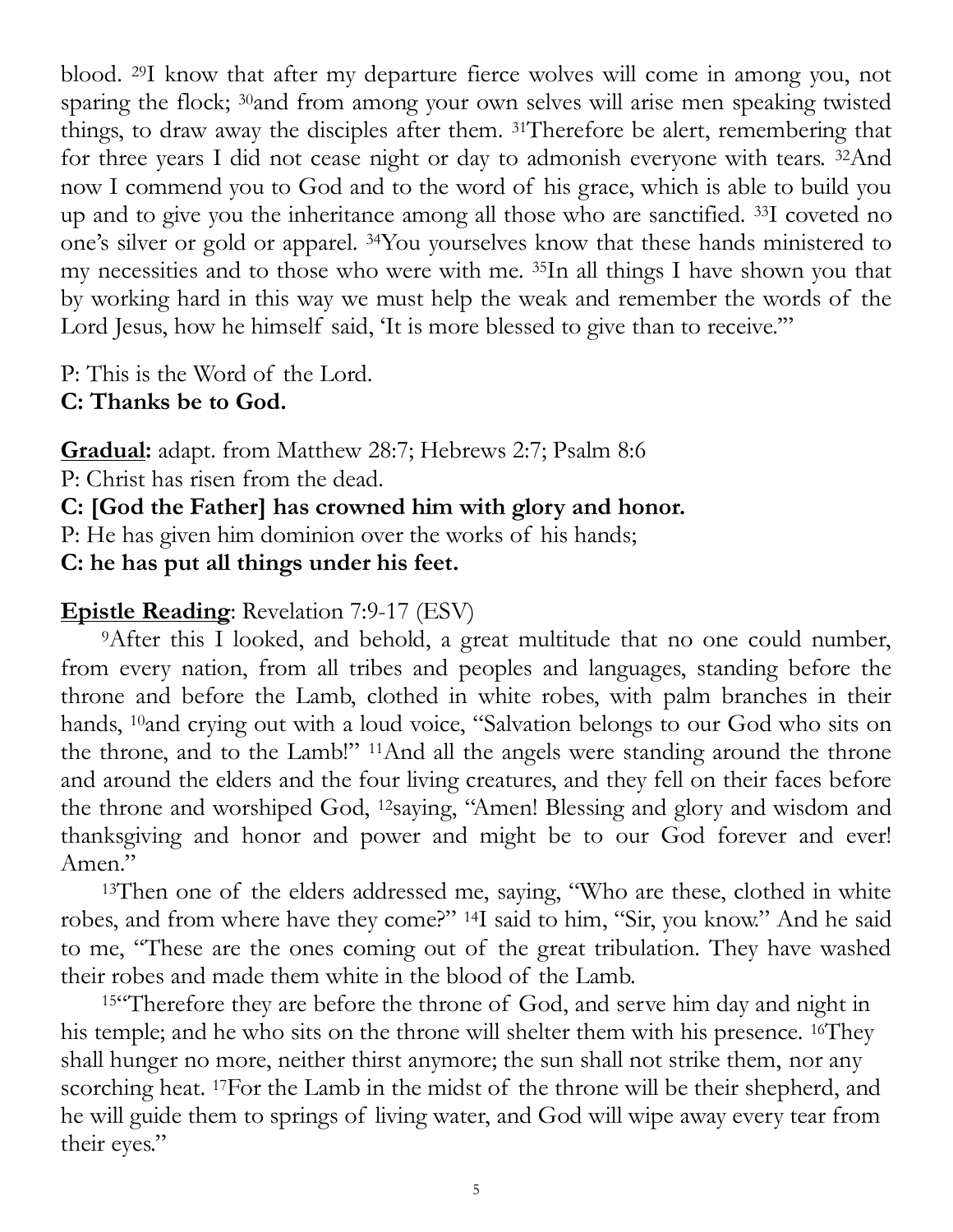blood. <sup>29</sup>I know that after my departure fierce wolves will come in among you, not sparing the flock; <sup>30</sup>and from among your own selves will arise men speaking twisted things, to draw away the disciples after them. <sup>31</sup>Therefore be alert, remembering that for three years I did not cease night or day to admonish everyone with tears. <sup>32</sup>And now I commend you to God and to the word of his grace, which is able to build you up and to give you the inheritance among all those who are sanctified. <sup>33</sup>I coveted no one's silver or gold or apparel. <sup>34</sup>You yourselves know that these hands ministered to my necessities and to those who were with me. <sup>35</sup>In all things I have shown you that by working hard in this way we must help the weak and remember the words of the Lord Jesus, how he himself said, 'It is more blessed to give than to receive.""

P: This is the Word of the Lord.

**C: Thanks be to God.** 

**Gradual:** adapt. from Matthew 28:7; Hebrews 2:7; Psalm 8:6

P: Christ has risen from the dead.

**C: [God the Father] has crowned him with glory and honor.**

P: He has given him dominion over the works of his hands;

**C: he has put all things under his feet.**

# **Epistle Reading**: Revelation 7:9-17 (ESV)

<sup>9</sup>After this I looked, and behold, a great multitude that no one could number, from every nation, from all tribes and peoples and languages, standing before the throne and before the Lamb, clothed in white robes, with palm branches in their hands, <sup>10</sup>and crying out with a loud voice, "Salvation belongs to our God who sits on the throne, and to the Lamb!" <sup>11</sup>And all the angels were standing around the throne and around the elders and the four living creatures, and they fell on their faces before the throne and worshiped God, <sup>12</sup>saying, "Amen! Blessing and glory and wisdom and thanksgiving and honor and power and might be to our God forever and ever! Amen."

<sup>13</sup>Then one of the elders addressed me, saying, "Who are these, clothed in white robes, and from where have they come?" <sup>14</sup>I said to him, "Sir, you know." And he said to me, "These are the ones coming out of the great tribulation. They have washed their robes and made them white in the blood of the Lamb.

<sup>15"</sup>Therefore they are before the throne of God, and serve him day and night in his temple; and he who sits on the throne will shelter them with his presence. 16They shall hunger no more, neither thirst anymore; the sun shall not strike them, nor any scorching heat. 17For the Lamb in the midst of the throne will be their shepherd, and he will guide them to springs of living water, and God will wipe away every tear from their eyes."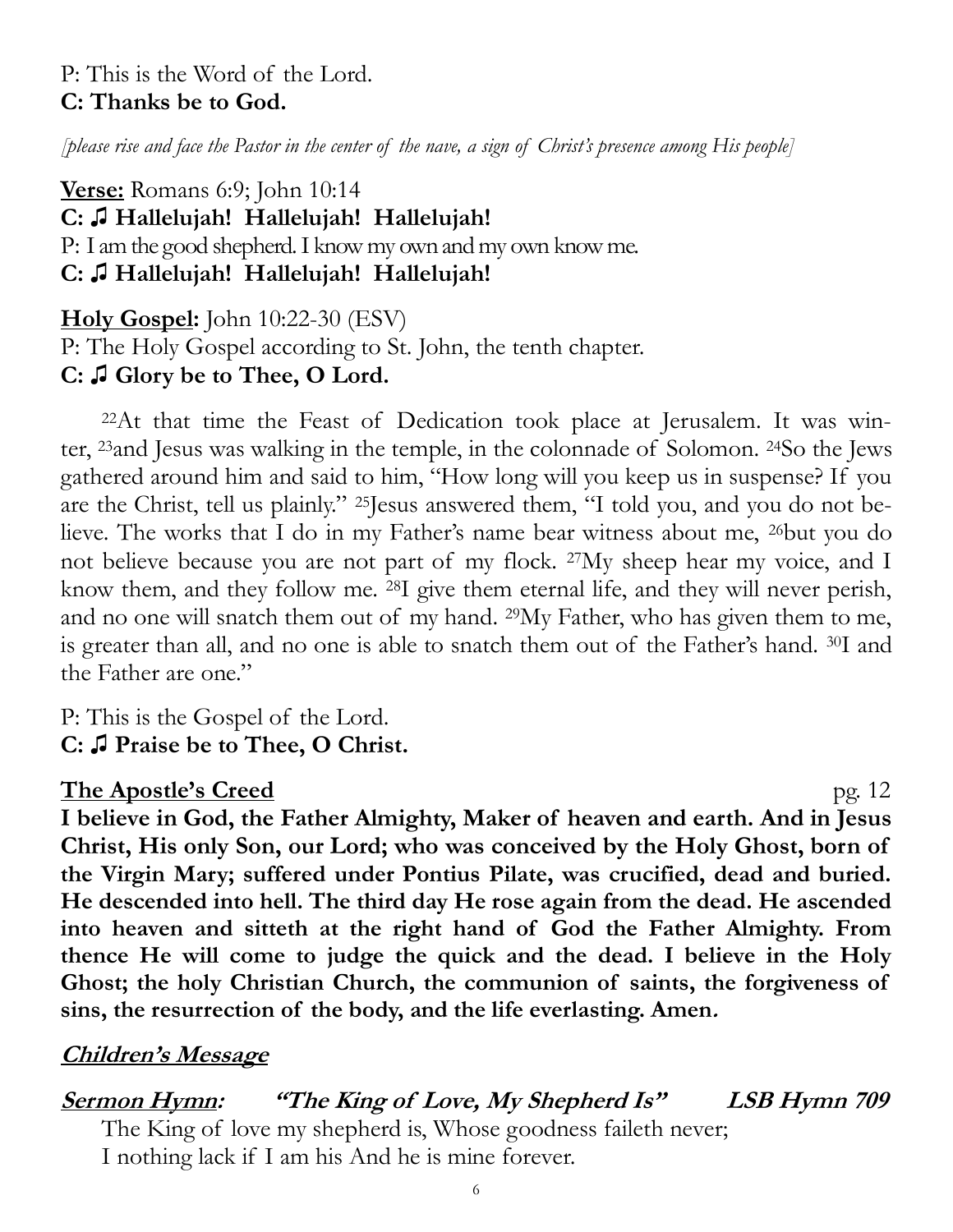# P: This is the Word of the Lord. **C: Thanks be to God.**

*[please rise and face the Pastor in the center of the nave, a sign of Christ's presence among His people]*

**Verse:** Romans 6:9; John 10:14 **C: ♫ Hallelujah! Hallelujah! Hallelujah!** P: I am the good shepherd. I know my own and my own know me. **C: ♫ Hallelujah! Hallelujah! Hallelujah!**

**Holy Gospel:** John 10:22-30 (ESV)

P: The Holy Gospel according to St. John, the tenth chapter. **C: ♫ Glory be to Thee, O Lord.**

22At that time the Feast of Dedication took place at Jerusalem. It was winter, <sup>23</sup>and Jesus was walking in the temple, in the colonnade of Solomon. <sup>24</sup>So the Jews gathered around him and said to him, "How long will you keep us in suspense? If you are the Christ, tell us plainly." <sup>25</sup>Jesus answered them, "I told you, and you do not believe. The works that I do in my Father's name bear witness about me, <sup>26</sup>but you do not believe because you are not part of my flock. <sup>27</sup>My sheep hear my voice, and I know them, and they follow me. <sup>28</sup>I give them eternal life, and they will never perish, and no one will snatch them out of my hand. <sup>29</sup>My Father, who has given them to me, is greater than all, and no one is able to snatch them out of the Father's hand. <sup>30</sup>I and the Father are one."

P: This is the Gospel of the Lord. **C: ♫ Praise be to Thee, O Christ.**

# **The Apostle's Creed** pg. 12

**I believe in God, the Father Almighty, Maker of heaven and earth. And in Jesus Christ, His only Son, our Lord; who was conceived by the Holy Ghost, born of the Virgin Mary; suffered under Pontius Pilate, was crucified, dead and buried. He descended into hell. The third day He rose again from the dead. He ascended into heaven and sitteth at the right hand of God the Father Almighty. From thence He will come to judge the quick and the dead. I believe in the Holy Ghost; the holy Christian Church, the communion of saints, the forgiveness of sins, the resurrection of the body, and the life everlasting. Amen.**

# **Children's Message**

**Sermon Hymn: "The King of Love, My Shepherd Is" LSB Hymn 709** The King of love my shepherd is, Whose goodness faileth never; I nothing lack if I am his And he is mine forever.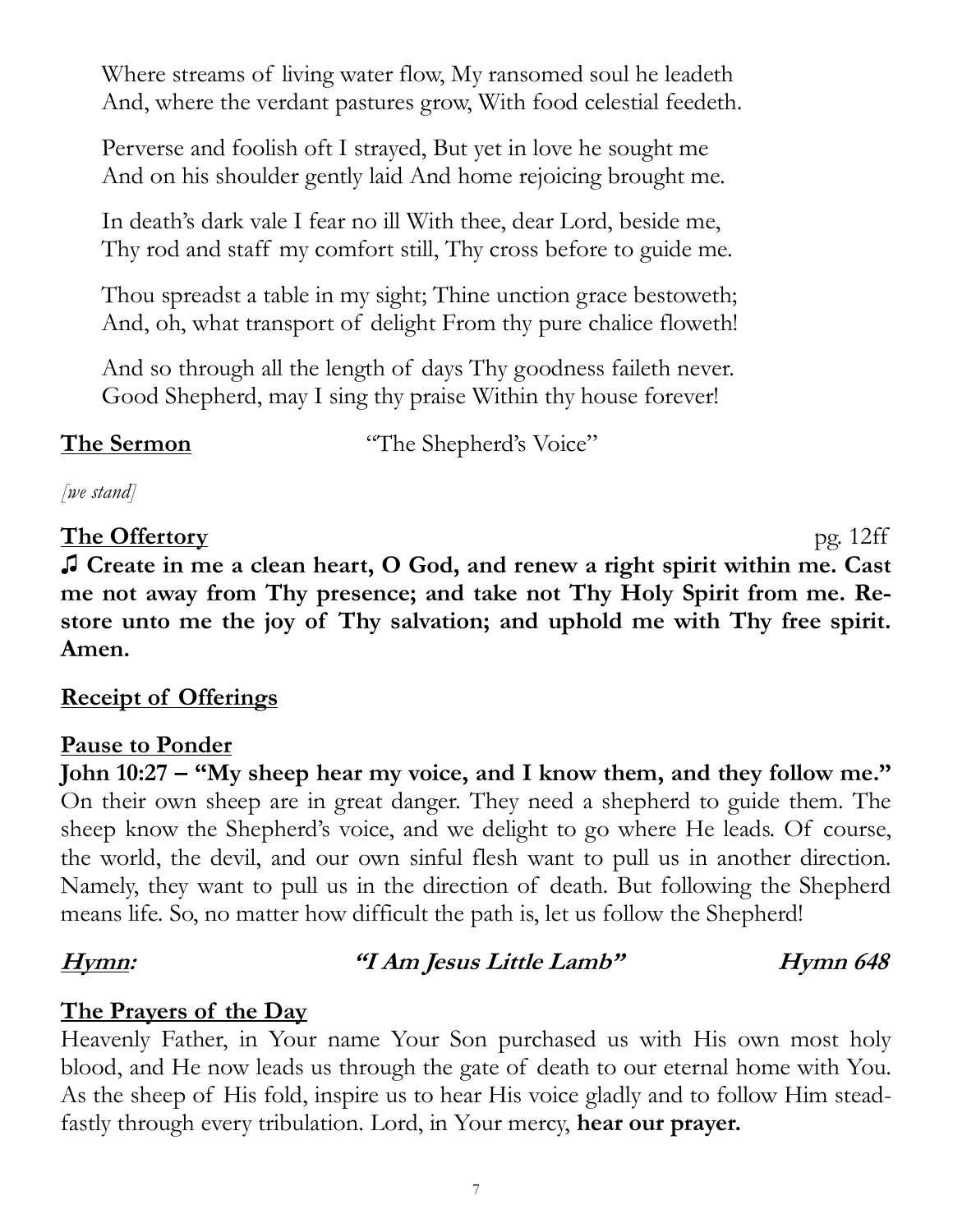Where streams of living water flow, My ransomed soul he leadeth And, where the verdant pastures grow, With food celestial feedeth.

Perverse and foolish oft I strayed, But yet in love he sought me And on his shoulder gently laid And home rejoicing brought me.

In death's dark vale I fear no ill With thee, dear Lord, beside me, Thy rod and staff my comfort still, Thy cross before to guide me.

Thou spreadst a table in my sight; Thine unction grace bestoweth; And, oh, what transport of delight From thy pure chalice floweth!

And so through all the length of days Thy goodness faileth never. Good Shepherd, may I sing thy praise Within thy house forever!

**The Sermon** "The Shepherd's Voice"

*[we stand]*

# **The Offertory** pg. 12ff

**♫ Create in me a clean heart, O God, and renew a right spirit within me. Cast me not away from Thy presence; and take not Thy Holy Spirit from me. Restore unto me the joy of Thy salvation; and uphold me with Thy free spirit. Amen.** 

# **Receipt of Offerings**

# **Pause to Ponder**

**John 10:27 – "My sheep hear my voice, and I know them, and they follow me."**  On their own sheep are in great danger. They need a shepherd to guide them. The sheep know the Shepherd's voice, and we delight to go where He leads. Of course, the world, the devil, and our own sinful flesh want to pull us in another direction. Namely, they want to pull us in the direction of death. But following the Shepherd means life. So, no matter how difficult the path is, let us follow the Shepherd!

# **Hymn: "I Am Jesus Little Lamb" Hymn 648**

# **The Prayers of the Day**

Heavenly Father, in Your name Your Son purchased us with His own most holy blood, and He now leads us through the gate of death to our eternal home with You. As the sheep of His fold, inspire us to hear His voice gladly and to follow Him steadfastly through every tribulation. Lord, in Your mercy, **hear our prayer.**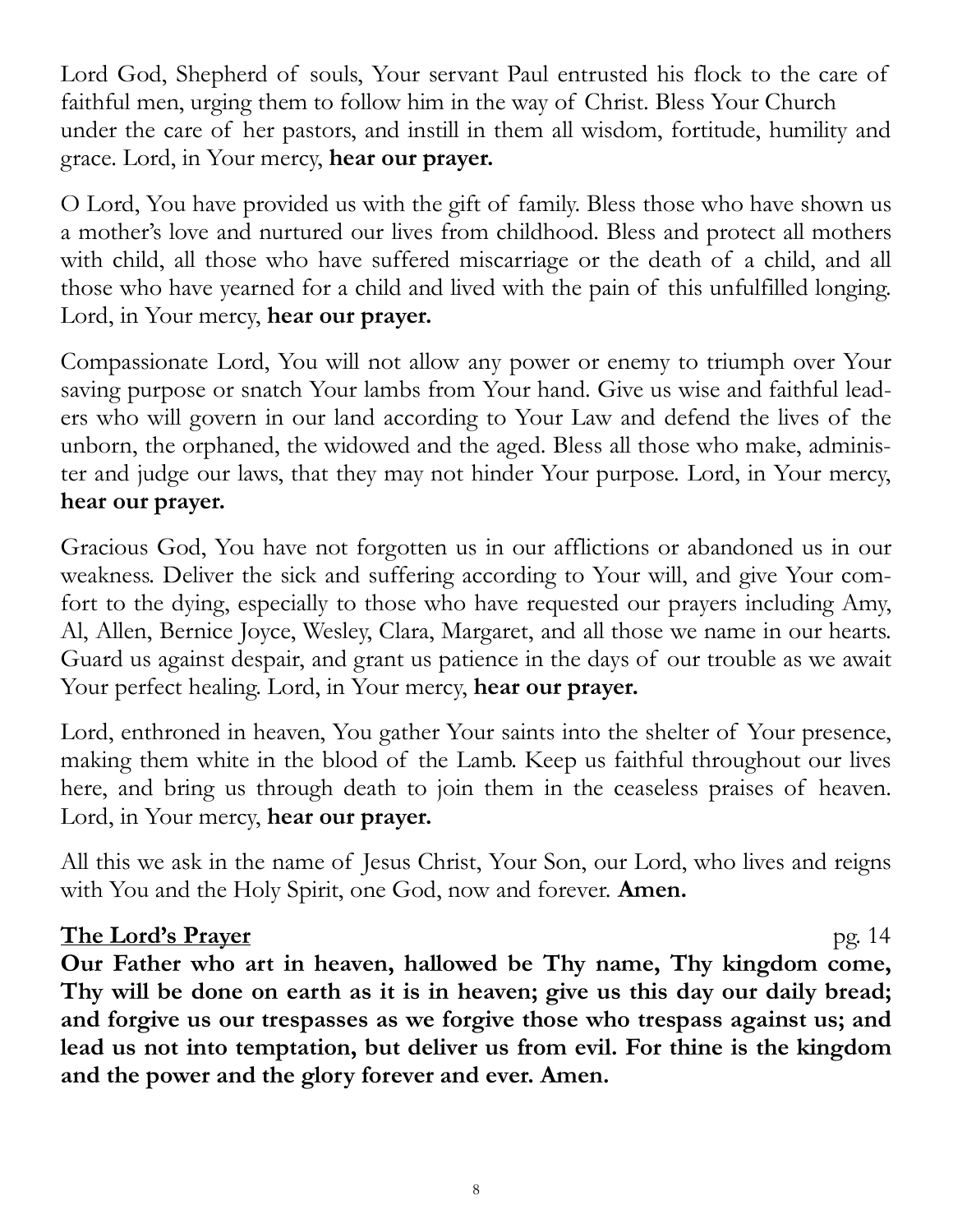Lord God, Shepherd of souls, Your servant Paul entrusted his flock to the care of faithful men, urging them to follow him in the way of Christ. Bless Your Church under the care of her pastors, and instill in them all wisdom, fortitude, humility and grace. Lord, in Your mercy, **hear our prayer.**

O Lord, You have provided us with the gift of family. Bless those who have shown us a mother's love and nurtured our lives from childhood. Bless and protect all mothers with child, all those who have suffered miscarriage or the death of a child, and all those who have yearned for a child and lived with the pain of this unfulfilled longing. Lord, in Your mercy, **hear our prayer.**

Compassionate Lord, You will not allow any power or enemy to triumph over Your saving purpose or snatch Your lambs from Your hand. Give us wise and faithful leaders who will govern in our land according to Your Law and defend the lives of the unborn, the orphaned, the widowed and the aged. Bless all those who make, administer and judge our laws, that they may not hinder Your purpose. Lord, in Your mercy, **hear our prayer.**

Gracious God, You have not forgotten us in our afflictions or abandoned us in our weakness. Deliver the sick and suffering according to Your will, and give Your comfort to the dying, especially to those who have requested our prayers including Amy, Al, Allen, Bernice Joyce, Wesley, Clara, Margaret, and all those we name in our hearts. Guard us against despair, and grant us patience in the days of our trouble as we await Your perfect healing. Lord, in Your mercy, **hear our prayer.**

Lord, enthroned in heaven, You gather Your saints into the shelter of Your presence, making them white in the blood of the Lamb. Keep us faithful throughout our lives here, and bring us through death to join them in the ceaseless praises of heaven. Lord, in Your mercy, **hear our prayer.**

All this we ask in the name of Jesus Christ, Your Son, our Lord, who lives and reigns with You and the Holy Spirit, one God, now and forever. **Amen.**

# **The Lord's Prayer** pg. 14

**Our Father who art in heaven, hallowed be Thy name, Thy kingdom come, Thy will be done on earth as it is in heaven; give us this day our daily bread; and forgive us our trespasses as we forgive those who trespass against us; and lead us not into temptation, but deliver us from evil. For thine is the kingdom and the power and the glory forever and ever. Amen.**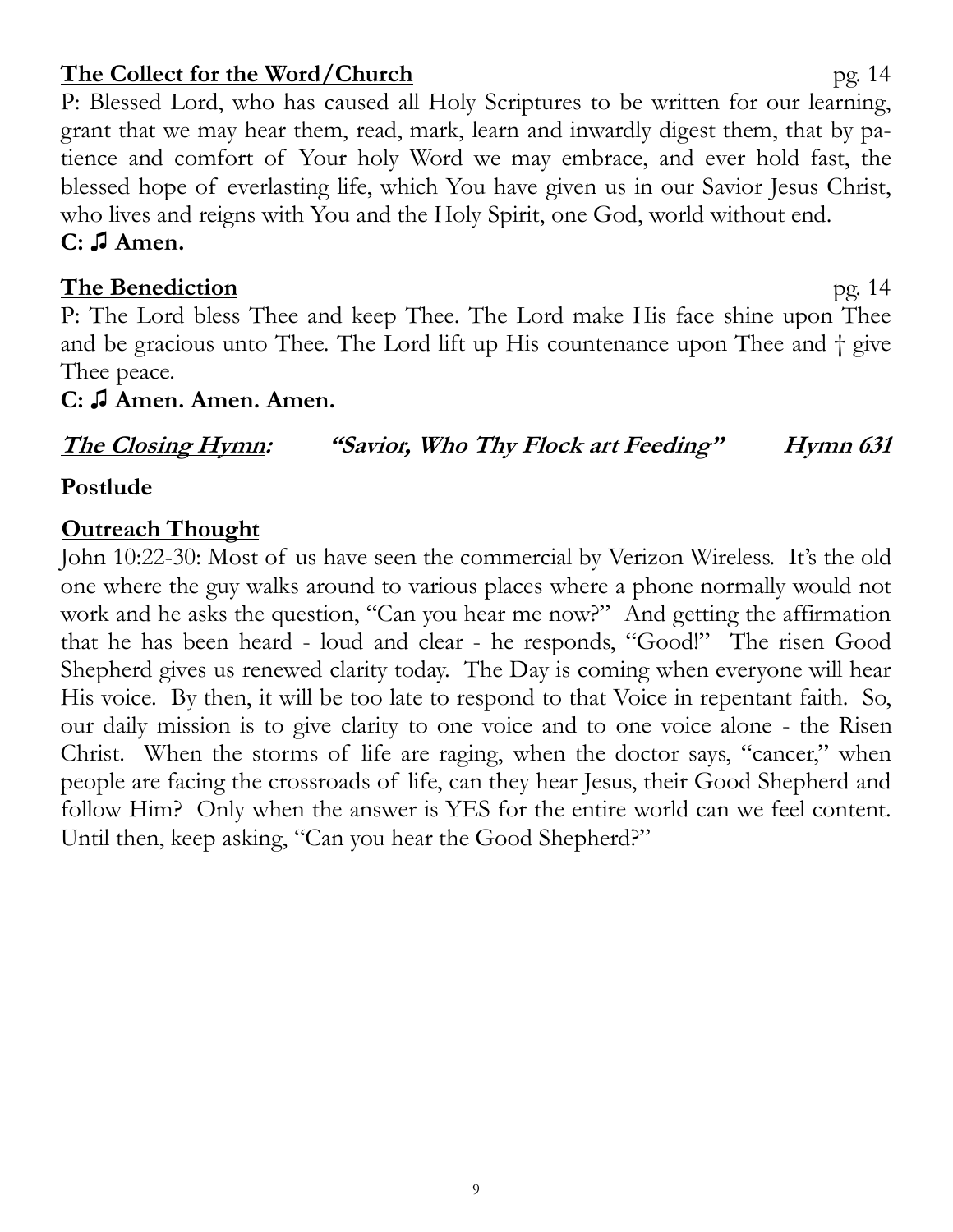#### 9

# **The Collect for the Word/Church** pg. 14

P: Blessed Lord, who has caused all Holy Scriptures to be written for our learning, grant that we may hear them, read, mark, learn and inwardly digest them, that by patience and comfort of Your holy Word we may embrace, and ever hold fast, the blessed hope of everlasting life, which You have given us in our Savior Jesus Christ, who lives and reigns with You and the Holy Spirit, one God, world without end. **C: ♫ Amen.** 

### **The Benediction** pg. 14

P: The Lord bless Thee and keep Thee. The Lord make His face shine upon Thee and be gracious unto Thee. The Lord lift up His countenance upon Thee and † give Thee peace.

#### **C: ♫ Amen. Amen. Amen.**

# **The Closing Hymn: "Savior, Who Thy Flock art Feeding" Hymn 631**

# **Postlude**

#### **Outreach Thought**

John 10:22-30: Most of us have seen the commercial by Verizon Wireless. It's the old one where the guy walks around to various places where a phone normally would not work and he asks the question, "Can you hear me now?" And getting the affirmation that he has been heard - loud and clear - he responds, "Good!" The risen Good Shepherd gives us renewed clarity today. The Day is coming when everyone will hear His voice. By then, it will be too late to respond to that Voice in repentant faith. So, our daily mission is to give clarity to one voice and to one voice alone - the Risen Christ. When the storms of life are raging, when the doctor says, "cancer," when people are facing the crossroads of life, can they hear Jesus, their Good Shepherd and follow Him? Only when the answer is YES for the entire world can we feel content. Until then, keep asking, "Can you hear the Good Shepherd?"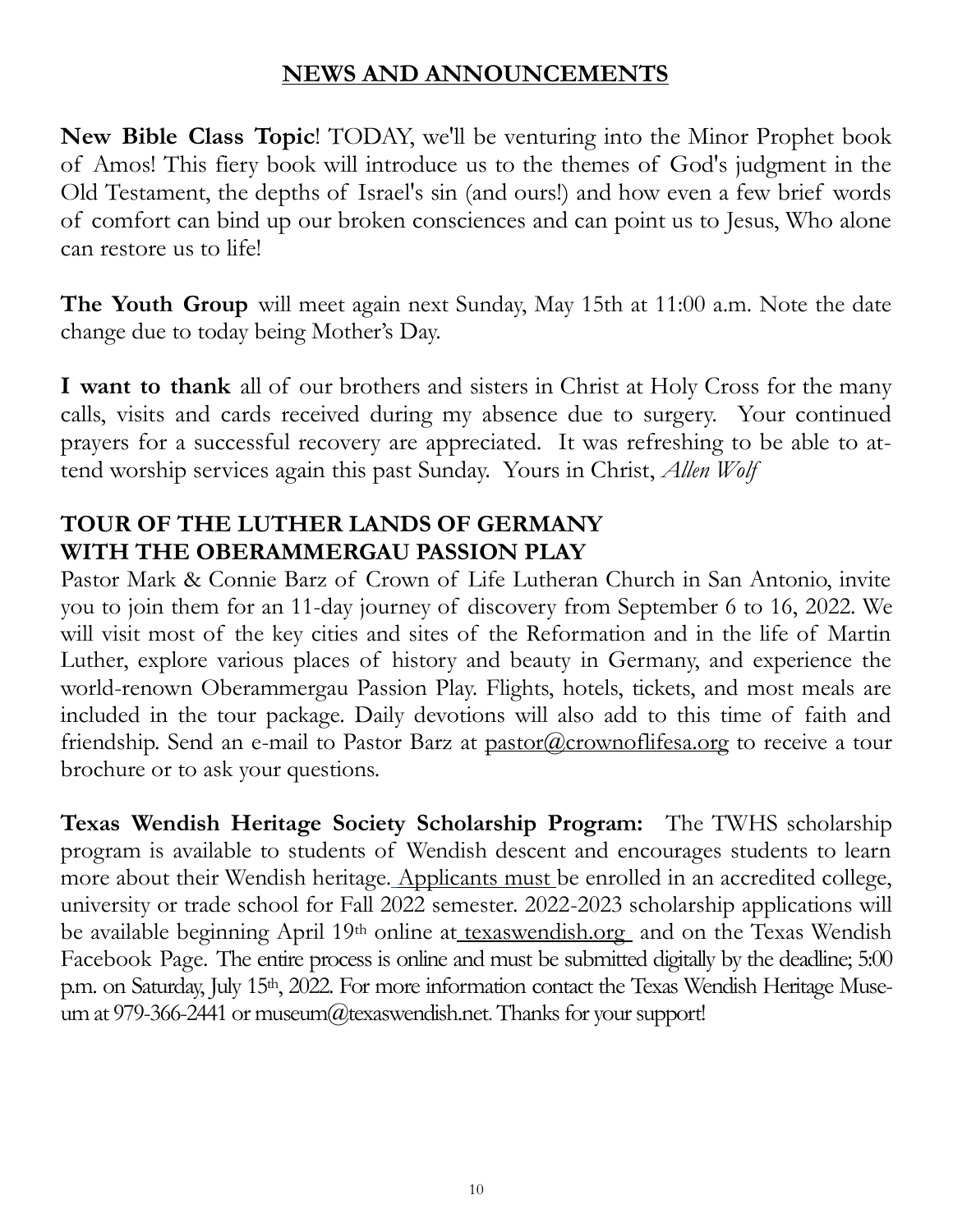# **NEWS AND ANNOUNCEMENTS**

**New Bible Class Topic**! TODAY, we'll be venturing into the Minor Prophet book of Amos! This fiery book will introduce us to the themes of God's judgment in the Old Testament, the depths of Israel's sin (and ours!) and how even a few brief words of comfort can bind up our broken consciences and can point us to Jesus, Who alone can restore us to life!

**The Youth Group** will meet again next Sunday, May 15th at 11:00 a.m. Note the date change due to today being Mother's Day.

**I want to thank** all of our brothers and sisters in Christ at Holy Cross for the many calls, visits and cards received during my absence due to surgery. Your continued prayers for a successful recovery are appreciated. It was refreshing to be able to attend worship services again this past Sunday. Yours in Christ, *Allen Wolf*

# **TOUR OF THE LUTHER LANDS OF GERMANY WITH THE OBERAMMERGAU PASSION PLAY**

Pastor Mark & Connie Barz of Crown of Life Lutheran Church in San Antonio, invite you to join them for an 11-day journey of discovery from September 6 to 16, 2022. We will visit most of the key cities and sites of the Reformation and in the life of Martin Luther, explore various places of history and beauty in Germany, and experience the world-renown Oberammergau Passion Play. Flights, hotels, tickets, and most meals are included in the tour package. Daily devotions will also add to this time of faith and friendship. Send an e-mail to Pastor Barz at [pastor@crownoflifesa.org](mailto:pastor@crownoflifesa.org) to receive a tour brochure or to ask your questions.

**Texas Wendish Heritage Society Scholarship Program:** The TWHS scholarship program is available to students of Wendish descent and encourages students to learn more about their Wendish heritage. Applicants must be enrolled in an accredited college, university or trade school for Fall 2022 semester. 2022-2023 scholarship applications will be available beginning April 19<sup>th</sup> online at [texaswendish.org](http://www.texaswendish.org) and on the Texas Wendish Facebook Page. The entire process is online and must be submitted digitally by the deadline; 5:00 p.m. on Saturday, July 15<sup>th</sup>, 2022. For more information contact the Texas Wendish Heritage Museum at 979-366-2441 or museum@texaswendish.net. Thanks for your support!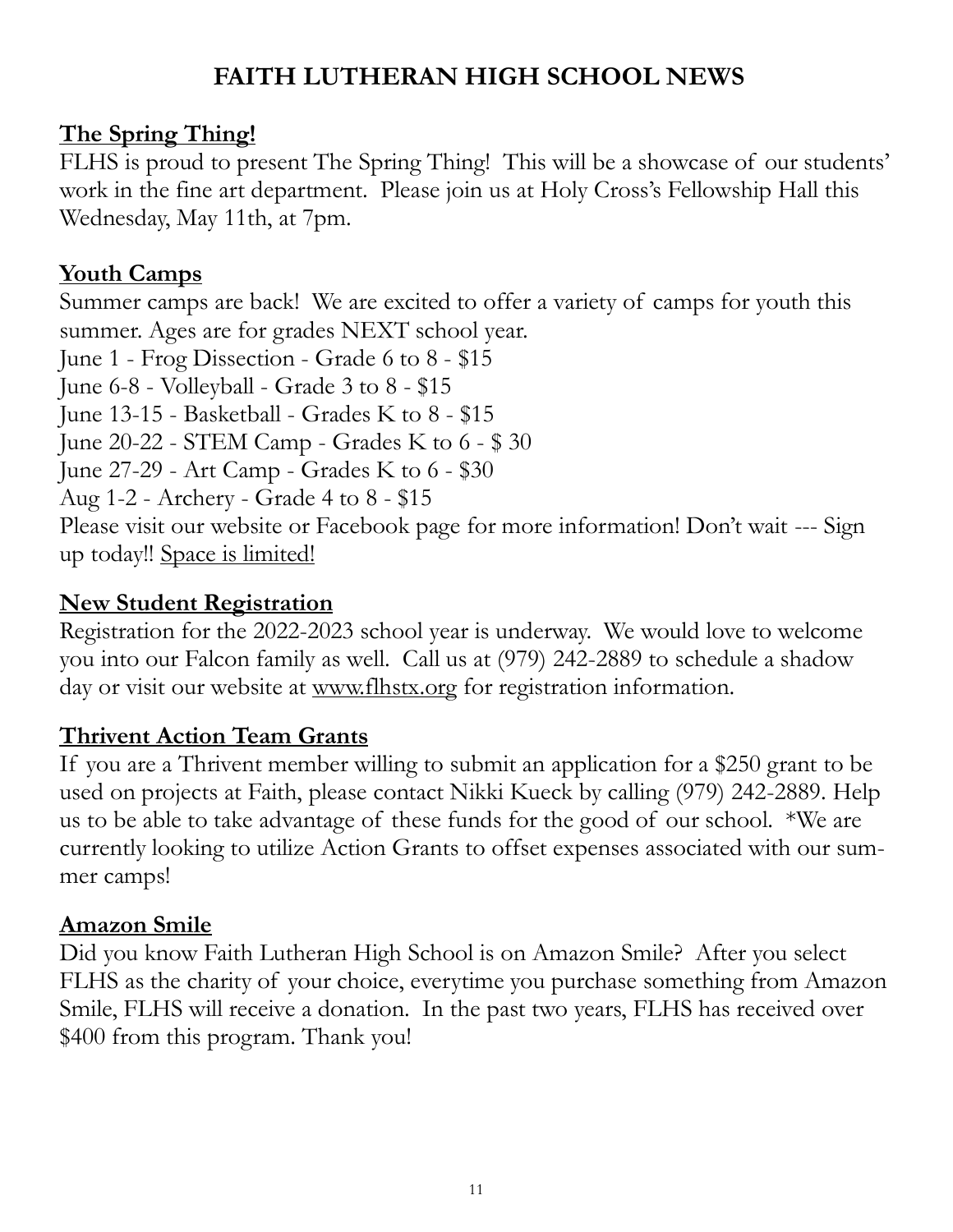# **FAITH LUTHERAN HIGH SCHOOL NEWS**

# **The Spring Thing!**

FLHS is proud to present The Spring Thing! This will be a showcase of our students' work in the fine art department. Please join us at Holy Cross's Fellowship Hall this Wednesday, May 11th, at 7pm.

# **Youth Camps**

Summer camps are back! We are excited to offer a variety of camps for youth this summer. Ages are for grades NEXT school year. June 1 - Frog Dissection - Grade 6 to 8 - \$15 June 6-8 - Volleyball - Grade 3 to 8 - \$15 June 13-15 - Basketball - Grades K to 8 - \$15 June 20-22 - STEM Camp - Grades K to 6 - \$ 30 June 27-29 - Art Camp - Grades K to 6 - \$30 Aug 1-2 - Archery - Grade 4 to 8 - \$15 Please visit our website or Facebook page for more information! Don't wait --- Sign up today!! Space is limited!

# **New Student Registration**

Registration for the 2022-2023 school year is underway. We would love to welcome you into our Falcon family as well. Call us at (979) 242-2889 to schedule a shadow day or visit our website at [www.flhstx.org](http://www.flhstx.org) for registration information.

# **Thrivent Action Team Grants**

If you are a Thrivent member willing to submit an application for a \$250 grant to be used on projects at Faith, please contact Nikki Kueck by calling (979) 242-2889. Help us to be able to take advantage of these funds for the good of our school. \*We are currently looking to utilize Action Grants to offset expenses associated with our summer camps!

# **Amazon Smile**

Did you know Faith Lutheran High School is on Amazon Smile? After you select FLHS as the charity of your choice, everytime you purchase something from Amazon Smile, FLHS will receive a donation. In the past two years, FLHS has received over \$400 from this program. Thank you!